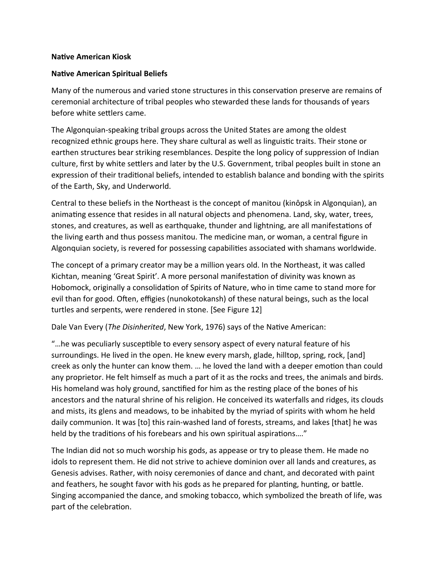## **Native American Kiosk**

## **Native American Spiritual Beliefs**

Many of the numerous and varied stone structures in this conservation preserve are remains of ceremonial architecture of tribal peoples who stewarded these lands for thousands of years before white settlers came.

The Algonquian-speaking tribal groups across the United States are among the oldest recognized ethnic groups here. They share cultural as well as linguistic traits. Their stone or earthen structures bear striking resemblances. Despite the long policy of suppression of Indian culture, first by white settlers and later by the U.S. Government, tribal peoples built in stone an expression of their traditional beliefs, intended to establish balance and bonding with the spirits of the Earth, Sky, and Underworld.

Central to these beliefs in the Northeast is the concept of manitou (kinôpsk in Algonquian), an animating essence that resides in all natural objects and phenomena. Land, sky, water, trees, stones, and creatures, as well as earthquake, thunder and lightning, are all manifestations of the living earth and thus possess manitou. The medicine man, or woman, a central figure in Algonquian society, is revered for possessing capabilities associated with shamans worldwide.

The concept of a primary creator may be a million years old. In the Northeast, it was called Kichtan, meaning 'Great Spirit'. A more personal manifestation of divinity was known as Hobomock, originally a consolidation of Spirits of Nature, who in time came to stand more for evil than for good. Often, effigies (nunokotokansh) of these natural beings, such as the local turtles and serpents, were rendered in stone. [See Figure 12]

Dale Van Every (*The Disinherited*, New York, 1976) says of the Native American:

"…he was peculiarly susceptible to every sensory aspect of every natural feature of his surroundings. He lived in the open. He knew every marsh, glade, hilltop, spring, rock, [and] creek as only the hunter can know them. … he loved the land with a deeper emotion than could any proprietor. He felt himself as much a part of it as the rocks and trees, the animals and birds. His homeland was holy ground, sanctified for him as the resting place of the bones of his ancestors and the natural shrine of his religion. He conceived its waterfalls and ridges, its clouds and mists, its glens and meadows, to be inhabited by the myriad of spirits with whom he held daily communion. It was [to] this rain-washed land of forests, streams, and lakes [that] he was held by the traditions of his forebears and his own spiritual aspirations…."

The Indian did not so much worship his gods, as appease or try to please them. He made no idols to represent them. He did not strive to achieve dominion over all lands and creatures, as Genesis advises. Rather, with noisy ceremonies of dance and chant, and decorated with paint and feathers, he sought favor with his gods as he prepared for planting, hunting, or battle. Singing accompanied the dance, and smoking tobacco, which symbolized the breath of life, was part of the celebration.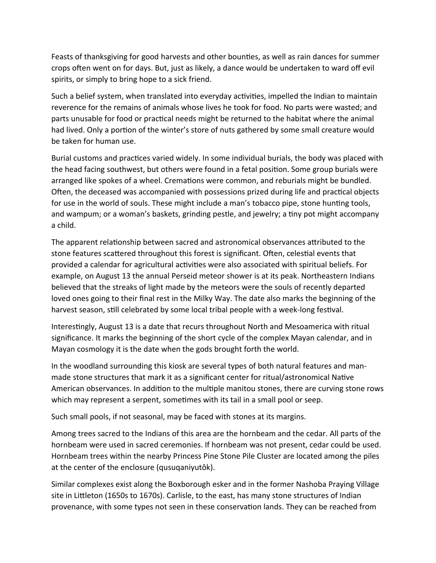Feasts of thanksgiving for good harvests and other bounties, as well as rain dances for summer crops often went on for days. But, just as likely, a dance would be undertaken to ward off evil spirits, or simply to bring hope to a sick friend.

Such a belief system, when translated into everyday activities, impelled the Indian to maintain reverence for the remains of animals whose lives he took for food. No parts were wasted; and parts unusable for food or practical needs might be returned to the habitat where the animal had lived. Only a portion of the winter's store of nuts gathered by some small creature would be taken for human use.

Burial customs and practices varied widely. In some individual burials, the body was placed with the head facing southwest, but others were found in a fetal position. Some group burials were arranged like spokes of a wheel. Cremations were common, and reburials might be bundled. Often, the deceased was accompanied with possessions prized during life and practical objects for use in the world of souls. These might include a man's tobacco pipe, stone hunting tools, and wampum; or a woman's baskets, grinding pestle, and jewelry; a tiny pot might accompany a child.

The apparent relationship between sacred and astronomical observances attributed to the stone features scattered throughout this forest is significant. Often, celestial events that provided a calendar for agricultural activities were also associated with spiritual beliefs. For example, on August 13 the annual Perseid meteor shower is at its peak. Northeastern Indians believed that the streaks of light made by the meteors were the souls of recently departed loved ones going to their final rest in the Milky Way. The date also marks the beginning of the harvest season, still celebrated by some local tribal people with a week-long festival.

Interestingly, August 13 is a date that recurs throughout North and Mesoamerica with ritual significance. It marks the beginning of the short cycle of the complex Mayan calendar, and in Mayan cosmology it is the date when the gods brought forth the world.

In the woodland surrounding this kiosk are several types of both natural features and manmade stone structures that mark it as a significant center for ritual/astronomical Native American observances. In addition to the multiple manitou stones, there are curving stone rows which may represent a serpent, sometimes with its tail in a small pool or seep.

Such small pools, if not seasonal, may be faced with stones at its margins.

Among trees sacred to the Indians of this area are the hornbeam and the cedar. All parts of the hornbeam were used in sacred ceremonies. If hornbeam was not present, cedar could be used. Hornbeam trees within the nearby Princess Pine Stone Pile Cluster are located among the piles at the center of the enclosure (qusuqaniyutôk).

Similar complexes exist along the Boxborough esker and in the former Nashoba Praying Village site in Littleton (1650s to 1670s). Carlisle, to the east, has many stone structures of Indian provenance, with some types not seen in these conservation lands. They can be reached from